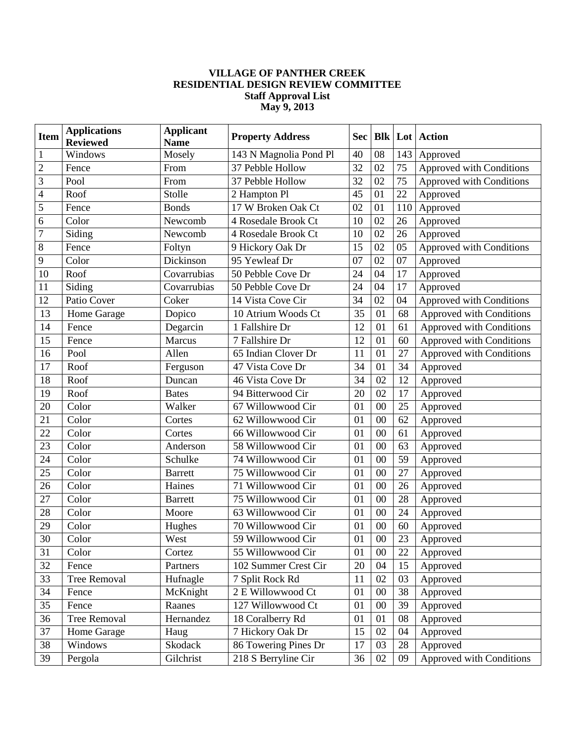## **VILLAGE OF PANTHER CREEK RESIDENTIAL DESIGN REVIEW COMMITTEE Staff Approval List May 9, 2013**

| <b>Item</b>    | <b>Applications</b><br><b>Reviewed</b> | <b>Applicant</b><br><b>Name</b> | <b>Property Address</b> | Sec |        |     | <b>Blk   Lot   Action</b> |
|----------------|----------------------------------------|---------------------------------|-------------------------|-----|--------|-----|---------------------------|
| $\mathbf{1}$   | Windows                                | Mosely                          | 143 N Magnolia Pond Pl  | 40  | 08     | 143 | Approved                  |
| $\overline{2}$ | Fence                                  | From                            | 37 Pebble Hollow        | 32  | 02     | 75  | Approved with Conditions  |
| 3              | Pool                                   | From                            | 37 Pebble Hollow        | 32  | 02     | 75  | Approved with Conditions  |
| $\overline{4}$ | Roof                                   | Stolle                          | 2 Hampton Pl            | 45  | 01     | 22  | Approved                  |
| 5              | Fence                                  | <b>Bonds</b>                    | 17 W Broken Oak Ct      | 02  | 01     | 110 | Approved                  |
| 6              | Color                                  | Newcomb                         | 4 Rosedale Brook Ct     | 10  | 02     | 26  | Approved                  |
| $\overline{7}$ | Siding                                 | Newcomb                         | 4 Rosedale Brook Ct     | 10  | 02     | 26  | Approved                  |
| 8              | Fence                                  | Foltyn                          | 9 Hickory Oak Dr        | 15  | 02     | 05  | Approved with Conditions  |
| 9              | Color                                  | Dickinson                       | 95 Yewleaf Dr           | 07  | 02     | 07  | Approved                  |
| 10             | Roof                                   | Covarrubias                     | 50 Pebble Cove Dr       | 24  | 04     | 17  | Approved                  |
| 11             | Siding                                 | Covarrubias                     | 50 Pebble Cove Dr       | 24  | 04     | 17  | Approved                  |
| 12             | Patio Cover                            | Coker                           | 14 Vista Cove Cir       | 34  | 02     | 04  | Approved with Conditions  |
| 13             | Home Garage                            | Dopico                          | 10 Atrium Woods Ct      | 35  | 01     | 68  | Approved with Conditions  |
| 14             | Fence                                  | Degarcin                        | 1 Fallshire Dr          | 12  | 01     | 61  | Approved with Conditions  |
| 15             | Fence                                  | Marcus                          | 7 Fallshire Dr          | 12  | 01     | 60  | Approved with Conditions  |
| 16             | Pool                                   | Allen                           | 65 Indian Clover Dr     | 11  | 01     | 27  | Approved with Conditions  |
| 17             | Roof                                   | Ferguson                        | 47 Vista Cove Dr        | 34  | 01     | 34  | Approved                  |
| 18             | Roof                                   | Duncan                          | 46 Vista Cove Dr        | 34  | 02     | 12  | Approved                  |
| 19             | Roof                                   | <b>Bates</b>                    | 94 Bitterwood Cir       | 20  | 02     | 17  | Approved                  |
| 20             | Color                                  | Walker                          | 67 Willowwood Cir       | 01  | 00     | 25  | Approved                  |
| 21             | Color                                  | Cortes                          | 62 Willowwood Cir       | 01  | 00     | 62  | Approved                  |
| 22             | Color                                  | Cortes                          | 66 Willowwood Cir       | 01  | 00     | 61  | Approved                  |
| 23             | Color                                  | Anderson                        | 58 Willowwood Cir       | 01  | 00     | 63  | Approved                  |
| 24             | Color                                  | Schulke                         | 74 Willowwood Cir       | 01  | 00     | 59  | Approved                  |
| 25             | Color                                  | <b>Barrett</b>                  | 75 Willowwood Cir       | 01  | 00     | 27  | Approved                  |
| 26             | Color                                  | Haines                          | 71 Willowwood Cir       | 01  | 00     | 26  | Approved                  |
| 27             | Color                                  | <b>Barrett</b>                  | 75 Willowwood Cir       | 01  | 00     | 28  | Approved                  |
| 28             | Color                                  | Moore                           | 63 Willowwood Cir       | 01  | 00     | 24  | Approved                  |
| 29             | Color                                  | Hughes                          | 70 Willowwood Cir       | 01  | 00     | 60  | Approved                  |
| 30             | Color                                  | West                            | 59 Willowwood Cir       | 01  | 00     | 23  | Approved                  |
| 31             | Color                                  | Cortez                          | 55 Willowwood Cir       | 01  | $00\,$ | 22  | Approved                  |
| 32             | Fence                                  | Partners                        | 102 Summer Crest Cir    | 20  | 04     | 15  | Approved                  |
| 33             | <b>Tree Removal</b>                    | Hufnagle                        | 7 Split Rock Rd         | 11  | 02     | 03  | Approved                  |
| 34             | Fence                                  | McKnight                        | 2 E Willowwood Ct       | 01  | $00\,$ | 38  | Approved                  |
| 35             | Fence                                  | Raanes                          | 127 Willowwood Ct       | 01  | 00     | 39  | Approved                  |
| 36             | <b>Tree Removal</b>                    | Hernandez                       | 18 Coralberry Rd        | 01  | 01     | 08  | Approved                  |
| 37             | Home Garage                            | Haug                            | 7 Hickory Oak Dr        | 15  | 02     | 04  | Approved                  |
| 38             | Windows                                | Skodack                         | 86 Towering Pines Dr    | 17  | 03     | 28  | Approved                  |
| 39             | Pergola                                | Gilchrist                       | 218 S Berryline Cir     | 36  | $02\,$ | 09  | Approved with Conditions  |